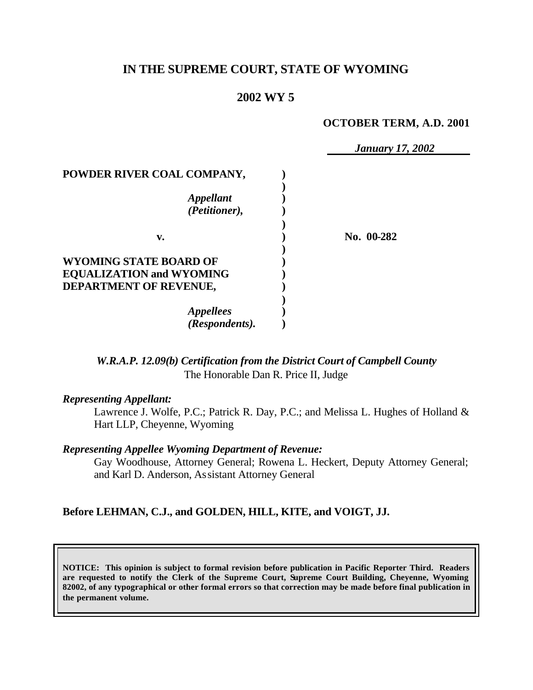# **IN THE SUPREME COURT, STATE OF WYOMING**

# **2002 WY 5**

### **OCTOBER TERM, A.D. 2001**

|                                 | <b>January 17, 2002</b> |
|---------------------------------|-------------------------|
| POWDER RIVER COAL COMPANY,      |                         |
|                                 |                         |
| <i><b>Appellant</b></i>         |                         |
| (Petitioner),                   |                         |
|                                 |                         |
| v.                              | No. 00-282              |
|                                 |                         |
| WYOMING STATE BOARD OF          |                         |
| <b>EQUALIZATION and WYOMING</b> |                         |
| DEPARTMENT OF REVENUE,          |                         |
|                                 |                         |
| <b>Appellees</b>                |                         |
| (Respondents).                  |                         |

*W.R.A.P. 12.09(b) Certification from the District Court of Campbell County* The Honorable Dan R. Price II, Judge

### *Representing Appellant:*

Lawrence J. Wolfe, P.C.; Patrick R. Day, P.C.; and Melissa L. Hughes of Holland & Hart LLP, Cheyenne, Wyoming

### *Representing Appellee Wyoming Department of Revenue:*

Gay Woodhouse, Attorney General; Rowena L. Heckert, Deputy Attorney General; and Karl D. Anderson, Assistant Attorney General

## **Before LEHMAN, C.J., and GOLDEN, HILL, KITE, and VOIGT, JJ.**

**NOTICE: This opinion is subject to formal revision before publication in Pacific Reporter Third. Readers are requested to notify the Clerk of the Supreme Court, Supreme Court Building, Cheyenne, Wyoming 82002, of any typographical or other formal errors so that correction may be made before final publication in the permanent volume.**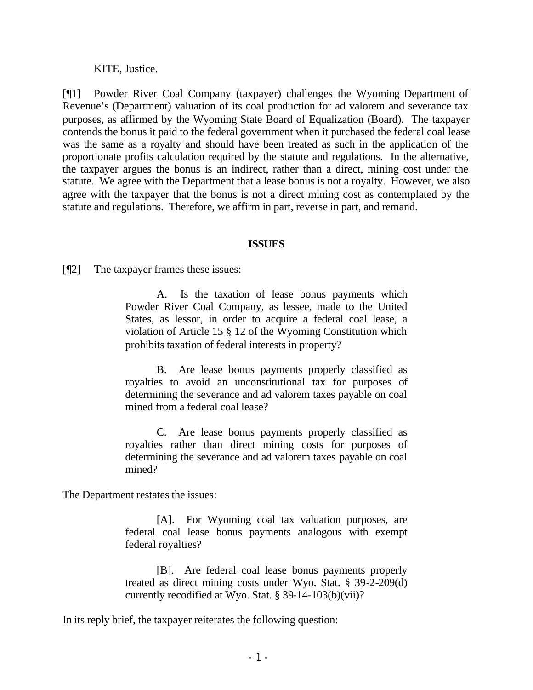KITE, Justice.

[¶1] Powder River Coal Company (taxpayer) challenges the Wyoming Department of Revenue's (Department) valuation of its coal production for ad valorem and severance tax purposes, as affirmed by the Wyoming State Board of Equalization (Board). The taxpayer contends the bonus it paid to the federal government when it purchased the federal coal lease was the same as a royalty and should have been treated as such in the application of the proportionate profits calculation required by the statute and regulations. In the alternative, the taxpayer argues the bonus is an indirect, rather than a direct, mining cost under the statute. We agree with the Department that a lease bonus is not a royalty. However, we also agree with the taxpayer that the bonus is not a direct mining cost as contemplated by the statute and regulations. Therefore, we affirm in part, reverse in part, and remand.

### **ISSUES**

[¶2] The taxpayer frames these issues:

A. Is the taxation of lease bonus payments which Powder River Coal Company, as lessee, made to the United States, as lessor, in order to acquire a federal coal lease, a violation of Article 15 § 12 of the Wyoming Constitution which prohibits taxation of federal interests in property?

B. Are lease bonus payments properly classified as royalties to avoid an unconstitutional tax for purposes of determining the severance and ad valorem taxes payable on coal mined from a federal coal lease?

C. Are lease bonus payments properly classified as royalties rather than direct mining costs for purposes of determining the severance and ad valorem taxes payable on coal mined?

The Department restates the issues:

[A]. For Wyoming coal tax valuation purposes, are federal coal lease bonus payments analogous with exempt federal royalties?

[B]. Are federal coal lease bonus payments properly treated as direct mining costs under Wyo. Stat. § 39-2-209(d) currently recodified at Wyo. Stat. § 39-14-103(b)(vii)?

In its reply brief, the taxpayer reiterates the following question: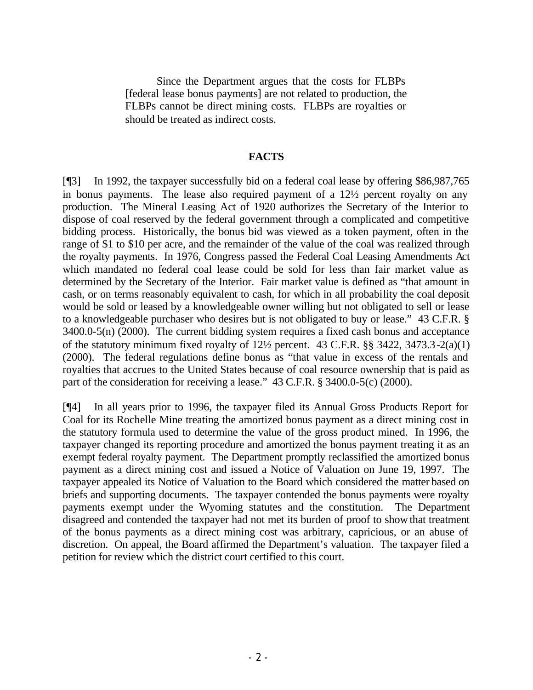Since the Department argues that the costs for FLBPs [federal lease bonus payments] are not related to production, the FLBPs cannot be direct mining costs. FLBPs are royalties or should be treated as indirect costs.

#### **FACTS**

[¶3] In 1992, the taxpayer successfully bid on a federal coal lease by offering \$86,987,765 in bonus payments. The lease also required payment of a 12½ percent royalty on any production. The Mineral Leasing Act of 1920 authorizes the Secretary of the Interior to dispose of coal reserved by the federal government through a complicated and competitive bidding process. Historically, the bonus bid was viewed as a token payment, often in the range of \$1 to \$10 per acre, and the remainder of the value of the coal was realized through the royalty payments. In 1976, Congress passed the Federal Coal Leasing Amendments Act which mandated no federal coal lease could be sold for less than fair market value as determined by the Secretary of the Interior. Fair market value is defined as "that amount in cash, or on terms reasonably equivalent to cash, for which in all probability the coal deposit would be sold or leased by a knowledgeable owner willing but not obligated to sell or lease to a knowledgeable purchaser who desires but is not obligated to buy or lease." 43 C.F.R. § 3400.0-5(n) (2000). The current bidding system requires a fixed cash bonus and acceptance of the statutory minimum fixed royalty of 12½ percent. 43 C.F.R. §§ 3422, 3473.3-2(a)(1) (2000). The federal regulations define bonus as "that value in excess of the rentals and royalties that accrues to the United States because of coal resource ownership that is paid as part of the consideration for receiving a lease." 43 C.F.R. § 3400.0-5(c) (2000).

[¶4] In all years prior to 1996, the taxpayer filed its Annual Gross Products Report for Coal for its Rochelle Mine treating the amortized bonus payment as a direct mining cost in the statutory formula used to determine the value of the gross product mined. In 1996, the taxpayer changed its reporting procedure and amortized the bonus payment treating it as an exempt federal royalty payment. The Department promptly reclassified the amortized bonus payment as a direct mining cost and issued a Notice of Valuation on June 19, 1997. The taxpayer appealed its Notice of Valuation to the Board which considered the matter based on briefs and supporting documents. The taxpayer contended the bonus payments were royalty payments exempt under the Wyoming statutes and the constitution. The Department disagreed and contended the taxpayer had not met its burden of proof to show that treatment of the bonus payments as a direct mining cost was arbitrary, capricious, or an abuse of discretion. On appeal, the Board affirmed the Department's valuation. The taxpayer filed a petition for review which the district court certified to this court.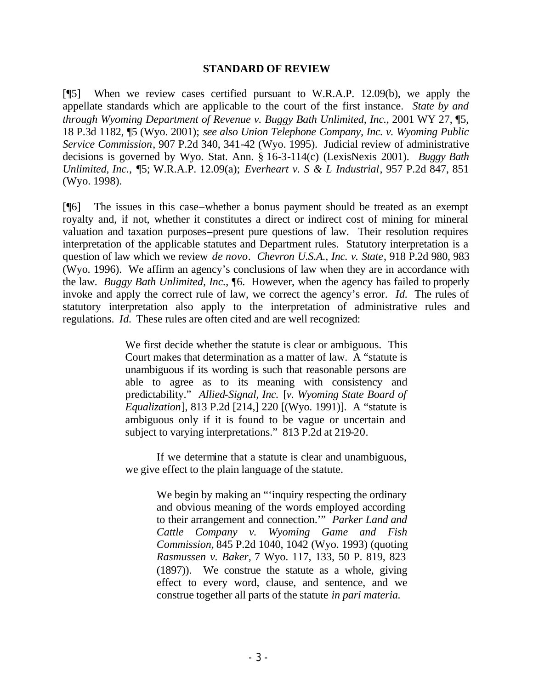### **STANDARD OF REVIEW**

[¶5] When we review cases certified pursuant to W.R.A.P. 12.09(b), we apply the appellate standards which are applicable to the court of the first instance. *State by and through Wyoming Department of Revenue v. Buggy Bath Unlimited, Inc.*, 2001 WY 27, ¶5, 18 P.3d 1182, ¶5 (Wyo. 2001); *see also Union Telephone Company, Inc. v. Wyoming Public Service Commission*, 907 P.2d 340, 341-42 (Wyo. 1995). Judicial review of administrative decisions is governed by Wyo. Stat. Ann. § 16-3-114(c) (LexisNexis 2001). *Buggy Bath Unlimited, Inc.,* ¶5; W.R.A.P. 12.09(a); *Everheart v. S & L Industrial*, 957 P.2d 847, 851 (Wyo. 1998).

[¶6] The issues in this case–whether a bonus payment should be treated as an exempt royalty and, if not, whether it constitutes a direct or indirect cost of mining for mineral valuation and taxation purposes–present pure questions of law. Their resolution requires interpretation of the applicable statutes and Department rules. Statutory interpretation is a question of law which we review *de novo*. *Chevron U.S.A., Inc. v. State*, 918 P.2d 980, 983 (Wyo. 1996). We affirm an agency's conclusions of law when they are in accordance with the law. *Buggy Bath Unlimited, Inc.*, ¶6. However, when the agency has failed to properly invoke and apply the correct rule of law, we correct the agency's error. *Id.* The rules of statutory interpretation also apply to the interpretation of administrative rules and regulations. *Id.* These rules are often cited and are well recognized:

> We first decide whether the statute is clear or ambiguous. This Court makes that determination as a matter of law. A "statute is unambiguous if its wording is such that reasonable persons are able to agree as to its meaning with consistency and predictability." *Allied-Signal, Inc.* [*v. Wyoming State Board of Equalization*], 813 P.2d [214,] 220 [(Wyo. 1991)]. A "statute is ambiguous only if it is found to be vague or uncertain and subject to varying interpretations." 813 P.2d at 219-20.

> If we determine that a statute is clear and unambiguous, we give effect to the plain language of the statute.

> > We begin by making an "'inquiry respecting the ordinary and obvious meaning of the words employed according to their arrangement and connection.'" *Parker Land and Cattle Company v. Wyoming Game and Fish Commission,* 845 P.2d 1040, 1042 (Wyo. 1993) (quoting *Rasmussen v. Baker,* 7 Wyo. 117, 133, 50 P. 819, 823 (1897)). We construe the statute as a whole, giving effect to every word, clause, and sentence, and we construe together all parts of the statute *in pari materia.*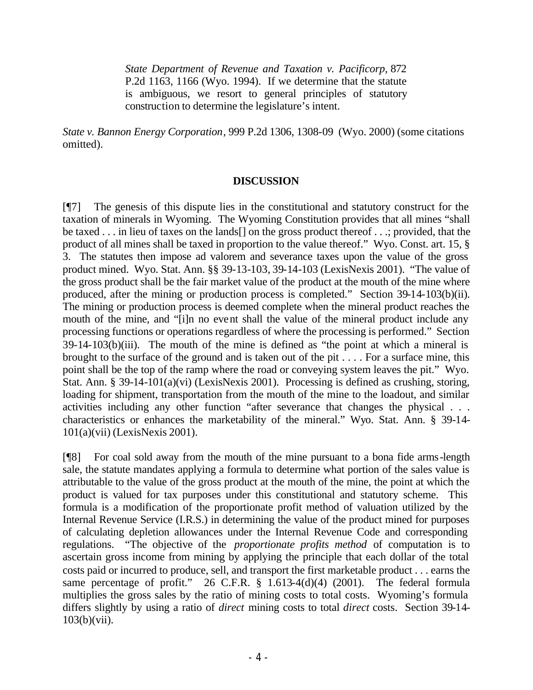*State Department of Revenue and Taxation v. Pacificorp,* 872 P.2d 1163, 1166 (Wyo. 1994). If we determine that the statute is ambiguous, we resort to general principles of statutory construction to determine the legislature's intent.

*State v. Bannon Energy Corporation*, 999 P.2d 1306, 1308-09 (Wyo. 2000) (some citations omitted).

## **DISCUSSION**

[¶7] The genesis of this dispute lies in the constitutional and statutory construct for the taxation of minerals in Wyoming. The Wyoming Constitution provides that all mines "shall be taxed . . . in lieu of taxes on the lands[] on the gross product thereof . . .; provided, that the product of all mines shall be taxed in proportion to the value thereof." Wyo. Const. art. 15, § 3. The statutes then impose ad valorem and severance taxes upon the value of the gross product mined. Wyo. Stat. Ann. §§ 39-13-103, 39-14-103 (LexisNexis 2001). "The value of the gross product shall be the fair market value of the product at the mouth of the mine where produced, after the mining or production process is completed." Section 39-14-103(b)(ii). The mining or production process is deemed complete when the mineral product reaches the mouth of the mine, and "[i]n no event shall the value of the mineral product include any processing functions or operations regardless of where the processing is performed." Section 39-14-103(b)(iii). The mouth of the mine is defined as "the point at which a mineral is brought to the surface of the ground and is taken out of the pit . . . . For a surface mine, this point shall be the top of the ramp where the road or conveying system leaves the pit." Wyo. Stat. Ann. § 39-14-101(a)(vi) (LexisNexis 2001). Processing is defined as crushing, storing, loading for shipment, transportation from the mouth of the mine to the loadout, and similar activities including any other function "after severance that changes the physical . . . characteristics or enhances the marketability of the mineral." Wyo. Stat. Ann. § 39-14- 101(a)(vii) (LexisNexis 2001).

[¶8] For coal sold away from the mouth of the mine pursuant to a bona fide arms-length sale, the statute mandates applying a formula to determine what portion of the sales value is attributable to the value of the gross product at the mouth of the mine, the point at which the product is valued for tax purposes under this constitutional and statutory scheme. This formula is a modification of the proportionate profit method of valuation utilized by the Internal Revenue Service (I.R.S.) in determining the value of the product mined for purposes of calculating depletion allowances under the Internal Revenue Code and corresponding regulations. "The objective of the *proportionate profits method* of computation is to ascertain gross income from mining by applying the principle that each dollar of the total costs paid or incurred to produce, sell, and transport the first marketable product . . . earns the same percentage of profit." 26 C.F.R.  $\S$  1.613-4(d)(4) (2001). The federal formula multiplies the gross sales by the ratio of mining costs to total costs. Wyoming's formula differs slightly by using a ratio of *direct* mining costs to total *direct* costs. Section 39-14- 103(b)(vii).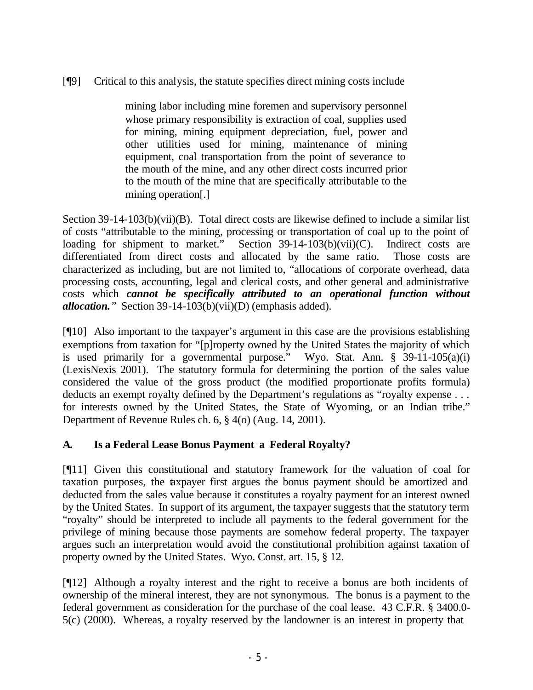# [¶9] Critical to this analysis, the statute specifies direct mining costs include

mining labor including mine foremen and supervisory personnel whose primary responsibility is extraction of coal, supplies used for mining, mining equipment depreciation, fuel, power and other utilities used for mining, maintenance of mining equipment, coal transportation from the point of severance to the mouth of the mine, and any other direct costs incurred prior to the mouth of the mine that are specifically attributable to the mining operation[.]

Section 39-14-103(b)(vii)(B). Total direct costs are likewise defined to include a similar list of costs "attributable to the mining, processing or transportation of coal up to the point of loading for shipment to market." Section 39-14-103(b)(vii)(C). Indirect costs are differentiated from direct costs and allocated by the same ratio. Those costs are characterized as including, but are not limited to, "allocations of corporate overhead, data processing costs, accounting, legal and clerical costs, and other general and administrative costs which *cannot be specifically attributed to an operational function without allocation."* Section 39-14-103(b)(vii)(D) (emphasis added).

[¶10] Also important to the taxpayer's argument in this case are the provisions establishing exemptions from taxation for "[p]roperty owned by the United States the majority of which is used primarily for a governmental purpose." Wyo. Stat. Ann.  $\S$  39-11-105(a)(i) (LexisNexis 2001). The statutory formula for determining the portion of the sales value considered the value of the gross product (the modified proportionate profits formula) deducts an exempt royalty defined by the Department's regulations as "royalty expense . . . for interests owned by the United States, the State of Wyoming, or an Indian tribe." Department of Revenue Rules ch. 6, § 4(o) (Aug. 14, 2001).

# **A. Is a Federal Lease Bonus Payment a Federal Royalty?**

[¶11] Given this constitutional and statutory framework for the valuation of coal for taxation purposes, the taxpayer first argues the bonus payment should be amortized and deducted from the sales value because it constitutes a royalty payment for an interest owned by the United States. In support of its argument, the taxpayer suggests that the statutory term "royalty" should be interpreted to include all payments to the federal government for the privilege of mining because those payments are somehow federal property. The taxpayer argues such an interpretation would avoid the constitutional prohibition against taxation of property owned by the United States. Wyo. Const. art. 15, § 12.

[¶12] Although a royalty interest and the right to receive a bonus are both incidents of ownership of the mineral interest, they are not synonymous. The bonus is a payment to the federal government as consideration for the purchase of the coal lease. 43 C.F.R. § 3400.0- 5(c) (2000). Whereas, a royalty reserved by the landowner is an interest in property that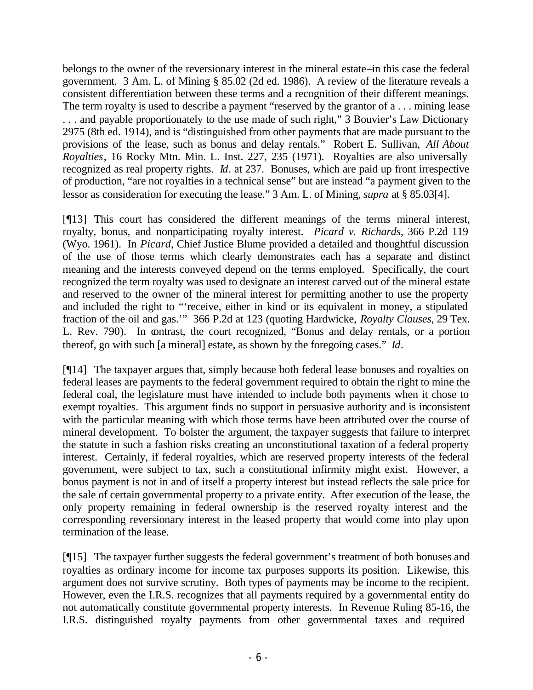belongs to the owner of the reversionary interest in the mineral estate–in this case the federal government. 3 Am. L. of Mining § 85.02 (2d ed. 1986). A review of the literature reveals a consistent differentiation between these terms and a recognition of their different meanings. The term royalty is used to describe a payment "reserved by the grantor of a . . . mining lease . . . and payable proportionately to the use made of such right," 3 Bouvier's Law Dictionary 2975 (8th ed. 1914), and is "distinguished from other payments that are made pursuant to the provisions of the lease, such as bonus and delay rentals." Robert E. Sullivan, *All About Royalties*, 16 Rocky Mtn. Min. L. Inst. 227, 235 (1971). Royalties are also universally recognized as real property rights. *Id*. at 237. Bonuses, which are paid up front irrespective of production, "are not royalties in a technical sense" but are instead "a payment given to the lessor as consideration for executing the lease." 3 Am. L. of Mining, *supra* at § 85.03[4].

[¶13] This court has considered the different meanings of the terms mineral interest, royalty, bonus, and nonparticipating royalty interest. *Picard v. Richards*, 366 P.2d 119 (Wyo. 1961). In *Picard*, Chief Justice Blume provided a detailed and thoughtful discussion of the use of those terms which clearly demonstrates each has a separate and distinct meaning and the interests conveyed depend on the terms employed. Specifically, the court recognized the term royalty was used to designate an interest carved out of the mineral estate and reserved to the owner of the mineral interest for permitting another to use the property and included the right to "'receive, either in kind or its equivalent in money, a stipulated fraction of the oil and gas.'" 366 P.2d at 123 (quoting Hardwicke, *Royalty Clauses*, 29 Tex. L. Rev. 790). In contrast, the court recognized, "Bonus and delay rentals, or a portion thereof, go with such [a mineral] estate, as shown by the foregoing cases." *Id*.

[¶14] The taxpayer argues that, simply because both federal lease bonuses and royalties on federal leases are payments to the federal government required to obtain the right to mine the federal coal, the legislature must have intended to include both payments when it chose to exempt royalties. This argument finds no support in persuasive authority and is inconsistent with the particular meaning with which those terms have been attributed over the course of mineral development. To bolster the argument, the taxpayer suggests that failure to interpret the statute in such a fashion risks creating an unconstitutional taxation of a federal property interest. Certainly, if federal royalties, which are reserved property interests of the federal government, were subject to tax, such a constitutional infirmity might exist. However, a bonus payment is not in and of itself a property interest but instead reflects the sale price for the sale of certain governmental property to a private entity. After execution of the lease, the only property remaining in federal ownership is the reserved royalty interest and the corresponding reversionary interest in the leased property that would come into play upon termination of the lease.

[¶15] The taxpayer further suggests the federal government's treatment of both bonuses and royalties as ordinary income for income tax purposes supports its position. Likewise, this argument does not survive scrutiny. Both types of payments may be income to the recipient. However, even the I.R.S. recognizes that all payments required by a governmental entity do not automatically constitute governmental property interests. In Revenue Ruling 85-16, the I.R.S. distinguished royalty payments from other governmental taxes and required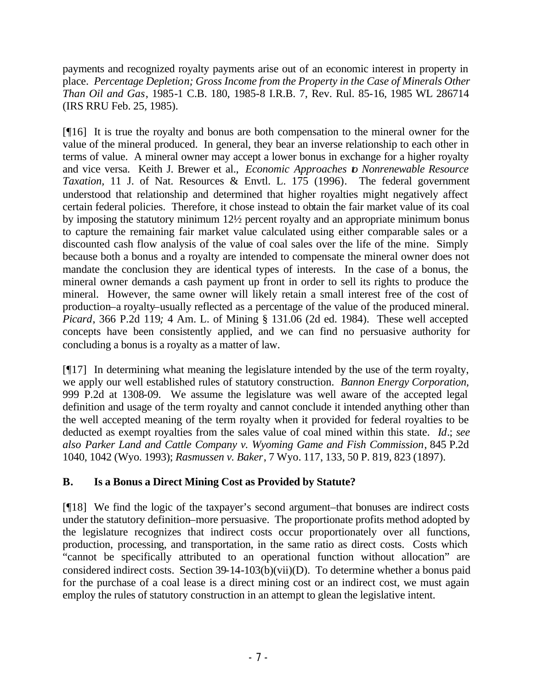payments and recognized royalty payments arise out of an economic interest in property in place. *Percentage Depletion; Gross Income from the Property in the Case of Minerals Other Than Oil and Gas*, 1985-1 C.B. 180, 1985-8 I.R.B. 7, Rev. Rul. 85-16, 1985 WL 286714 (IRS RRU Feb. 25, 1985).

[¶16] It is true the royalty and bonus are both compensation to the mineral owner for the value of the mineral produced. In general, they bear an inverse relationship to each other in terms of value. A mineral owner may accept a lower bonus in exchange for a higher royalty and vice versa. Keith J. Brewer et al., *Economic Approaches to Nonrenewable Resource Taxation,* 11 J. of Nat. Resources & Envtl. L. 175 (1996)*.* The federal government understood that relationship and determined that higher royalties might negatively affect certain federal policies. Therefore, it chose instead to obtain the fair market value of its coal by imposing the statutory minimum 12½ percent royalty and an appropriate minimum bonus to capture the remaining fair market value calculated using either comparable sales or a discounted cash flow analysis of the value of coal sales over the life of the mine. Simply because both a bonus and a royalty are intended to compensate the mineral owner does not mandate the conclusion they are identical types of interests. In the case of a bonus, the mineral owner demands a cash payment up front in order to sell its rights to produce the mineral. However, the same owner will likely retain a small interest free of the cost of production–a royalty–usually reflected as a percentage of the value of the produced mineral. *Picard*, 366 P.2d 119*;* 4 Am. L. of Mining § 131.06 (2d ed. 1984). These well accepted concepts have been consistently applied, and we can find no persuasive authority for concluding a bonus is a royalty as a matter of law.

[¶17] In determining what meaning the legislature intended by the use of the term royalty, we apply our well established rules of statutory construction. *Bannon Energy Corporation,*  999 P.2d at 1308-09. We assume the legislature was well aware of the accepted legal definition and usage of the term royalty and cannot conclude it intended anything other than the well accepted meaning of the term royalty when it provided for federal royalties to be deducted as exempt royalties from the sales value of coal mined within this state. *Id*.; *see also Parker Land and Cattle Company v. Wyoming Game and Fish Commission*, 845 P.2d 1040, 1042 (Wyo. 1993); *Rasmussen v. Baker*, 7 Wyo. 117, 133, 50 P. 819, 823 (1897).

# **B. Is a Bonus a Direct Mining Cost as Provided by Statute?**

[¶18] We find the logic of the taxpayer's second argument–that bonuses are indirect costs under the statutory definition–more persuasive. The proportionate profits method adopted by the legislature recognizes that indirect costs occur proportionately over all functions, production, processing, and transportation, in the same ratio as direct costs. Costs which "cannot be specifically attributed to an operational function without allocation" are considered indirect costs. Section 39-14-103(b)(vii)(D). To determine whether a bonus paid for the purchase of a coal lease is a direct mining cost or an indirect cost, we must again employ the rules of statutory construction in an attempt to glean the legislative intent.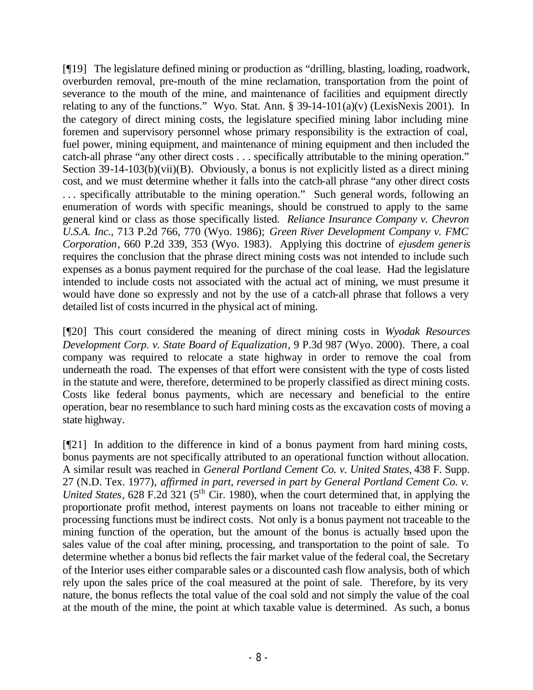[¶19] The legislature defined mining or production as "drilling, blasting, loading, roadwork, overburden removal, pre-mouth of the mine reclamation, transportation from the point of severance to the mouth of the mine, and maintenance of facilities and equipment directly relating to any of the functions." Wyo. Stat. Ann.  $\S 39-14-101(a)(v)$  (LexisNexis 2001). In the category of direct mining costs, the legislature specified mining labor including mine foremen and supervisory personnel whose primary responsibility is the extraction of coal, fuel power, mining equipment, and maintenance of mining equipment and then included the catch-all phrase "any other direct costs . . . specifically attributable to the mining operation." Section 39-14-103(b)(vii)(B). Obviously, a bonus is not explicitly listed as a direct mining cost, and we must determine whether it falls into the catch-all phrase "any other direct costs . . . specifically attributable to the mining operation." Such general words, following an enumeration of words with specific meanings, should be construed to apply to the same general kind or class as those specifically listed. *Reliance Insurance Company v. Chevron U.S.A. Inc.*, 713 P.2d 766, 770 (Wyo. 1986); *Green River Development Company v. FMC Corporation*, 660 P.2d 339, 353 (Wyo. 1983)*.* Applying this doctrine of *ejusdem generis*  requires the conclusion that the phrase direct mining costs was not intended to include such expenses as a bonus payment required for the purchase of the coal lease. Had the legislature intended to include costs not associated with the actual act of mining, we must presume it would have done so expressly and not by the use of a catch-all phrase that follows a very detailed list of costs incurred in the physical act of mining.

[¶20] This court considered the meaning of direct mining costs in *Wyodak Resources Development Corp. v. State Board of Equalization*, 9 P.3d 987 (Wyo. 2000). There, a coal company was required to relocate a state highway in order to remove the coal from underneath the road. The expenses of that effort were consistent with the type of costs listed in the statute and were, therefore, determined to be properly classified as direct mining costs. Costs like federal bonus payments, which are necessary and beneficial to the entire operation, bear no resemblance to such hard mining costs as the excavation costs of moving a state highway.

[¶21] In addition to the difference in kind of a bonus payment from hard mining costs, bonus payments are not specifically attributed to an operational function without allocation. A similar result was reached in *General Portland Cement Co. v. United States,* 438 F. Supp. 27 (N.D. Tex. 1977), *affirmed in part, reversed in part by General Portland Cement Co. v. United States*, 628 F.2d 321 (5<sup>th</sup> Cir. 1980), when the court determined that, in applying the proportionate profit method, interest payments on loans not traceable to either mining or processing functions must be indirect costs. Not only is a bonus payment not traceable to the mining function of the operation, but the amount of the bonus is actually based upon the sales value of the coal after mining, processing, and transportation to the point of sale. To determine whether a bonus bid reflects the fair market value of the federal coal, the Secretary of the Interior uses either comparable sales or a discounted cash flow analysis, both of which rely upon the sales price of the coal measured at the point of sale. Therefore, by its very nature, the bonus reflects the total value of the coal sold and not simply the value of the coal at the mouth of the mine, the point at which taxable value is determined. As such, a bonus